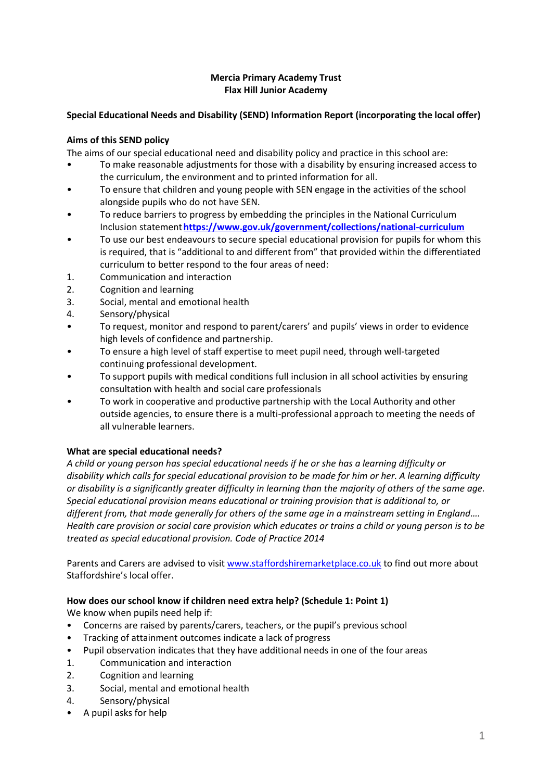### **Mercia Primary Academy Trust Flax Hill Junior Academy**

## **Special Educational Needs and Disability (SEND) Information Report (incorporating the local offer)**

### **Aims of this SEND policy**

The aims of our special educational need and disability policy and practice in this school are:

- To make reasonable adjustments for those with a disability by ensuring increased access to the curriculum, the environment and to printed information for all.
- To ensure that children and young people with SEN engage in the activities of the school alongside pupils who do not have SEN.
- To reduce barriers to progress by embedding the principles in the National Curriculum Inclusion statement**<https://www.gov.uk/government/collections/national-curriculum>**
- To use our best endeavours to secure special educational provision for pupils for whom this is required, that is "additional to and different from" that provided within the differentiated curriculum to better respond to the four areas of need:
- 1. Communication and interaction
- 2. Cognition and learning
- 3. Social, mental and emotional health
- 4. Sensory/physical
- To request, monitor and respond to parent/carers' and pupils' views in order to evidence high levels of confidence and partnership.
- To ensure a high level of staff expertise to meet pupil need, through well-targeted continuing professional development.
- To support pupils with medical conditions full inclusion in all school activities by ensuring consultation with health and social care professionals
- To work in cooperative and productive partnership with the Local Authority and other outside agencies, to ensure there is a multi-professional approach to meeting the needs of all vulnerable learners.

### **What are special educational needs?**

*A child or young person has special educational needs if he or she has a learning difficulty or disability which calls for special educational provision to be made for him or her. A learning difficulty or disability is a significantly greater difficulty in learning than the majority of others of the same age. Special educational provision means educational or training provision that is additional to, or different from, that made generally for others of the same age in a mainstream setting in England…. Health care provision or social care provision which educates or trains a child or young person is to be treated as special educational provision. Code of Practice 2014*

Parents and Carers are advised to visit [www.staffordshiremarketplace.co.uk](http://www.staffordshiremarketplace.co.uk/) to find out more about Staffordshire's local offer.

### **How does our school know if children need extra help? (Schedule 1: Point 1)**

We know when pupils need help if:

- Concerns are raised by parents/carers, teachers, or the pupil's previous school
- Tracking of attainment outcomes indicate a lack of progress
- Pupil observation indicates that they have additional needs in one of the four areas
- 1. Communication and interaction
- 2. Cognition and learning
- 3. Social, mental and emotional health
- 4. Sensory/physical
- A pupil asks for help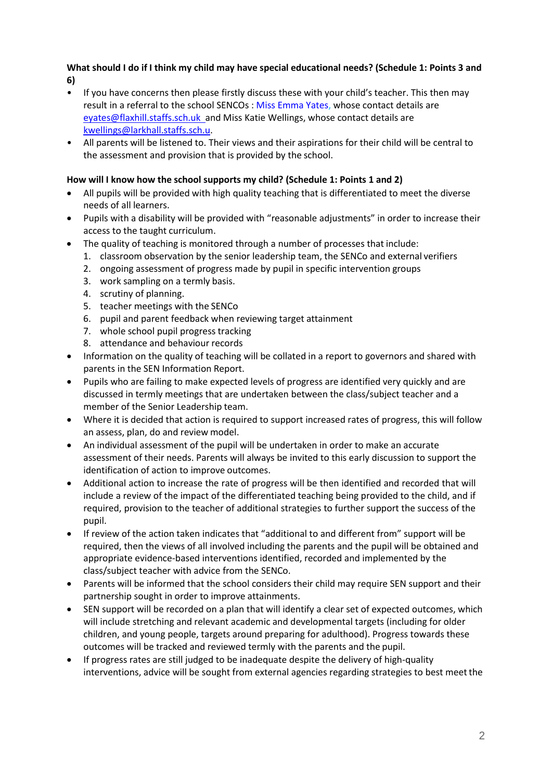### **What should I do if I think my child may have special educational needs? (Schedule 1: Points 3 and 6)**

- If you have concerns then please firstly discuss these with your child's teacher. This then may result in a referral to the school SENCOs : Miss Emma Yates, whose contact details are [eyates@flaxhill.staffs.sch.uk](mailto:eyates@flaxhill.staffs.sch.uk) and Miss Katie Wellings, whose contact details are [kwellings@larkhall.staffs.sch.u.](mailto:kwellings@larkhall.staffs.sch.u)
- All parents will be listened to. Their views and their aspirations for their child will be central to the assessment and provision that is provided by the school.

### **How will I know how the school supports my child? (Schedule 1: Points 1 and 2)**

- All pupils will be provided with high quality teaching that is differentiated to meet the diverse needs of all learners.
- Pupils with a disability will be provided with "reasonable adjustments" in order to increase their access to the taught curriculum.
- The quality of teaching is monitored through a number of processes that include:
	- 1. classroom observation by the senior leadership team, the SENCo and external verifiers
	- 2. ongoing assessment of progress made by pupil in specific intervention groups
	- 3. work sampling on a termly basis.
	- 4. scrutiny of planning.
	- 5. teacher meetings with the SENCo
	- 6. pupil and parent feedback when reviewing target attainment
	- 7. whole school pupil progress tracking
	- 8. attendance and behaviour records
- Information on the quality of teaching will be collated in a report to governors and shared with parents in the SEN Information Report.
- Pupils who are failing to make expected levels of progress are identified very quickly and are discussed in termly meetings that are undertaken between the class/subject teacher and a member of the Senior Leadership team.
- Where it is decided that action is required to support increased rates of progress, this will follow an assess, plan, do and review model.
- An individual assessment of the pupil will be undertaken in order to make an accurate assessment of their needs. Parents will always be invited to this early discussion to support the identification of action to improve outcomes.
- Additional action to increase the rate of progress will be then identified and recorded that will include a review of the impact of the differentiated teaching being provided to the child, and if required, provision to the teacher of additional strategies to further support the success of the pupil.
- If review of the action taken indicates that "additional to and different from" support will be required, then the views of all involved including the parents and the pupil will be obtained and appropriate evidence-based interventions identified, recorded and implemented by the class/subject teacher with advice from the SENCo.
- Parents will be informed that the school considers their child may require SEN support and their partnership sought in order to improve attainments.
- SEN support will be recorded on a plan that will identify a clear set of expected outcomes, which will include stretching and relevant academic and developmental targets (including for older children, and young people, targets around preparing for adulthood). Progress towards these outcomes will be tracked and reviewed termly with the parents and the pupil.
- If progress rates are still judged to be inadequate despite the delivery of high-quality interventions, advice will be sought from external agencies regarding strategies to best meetthe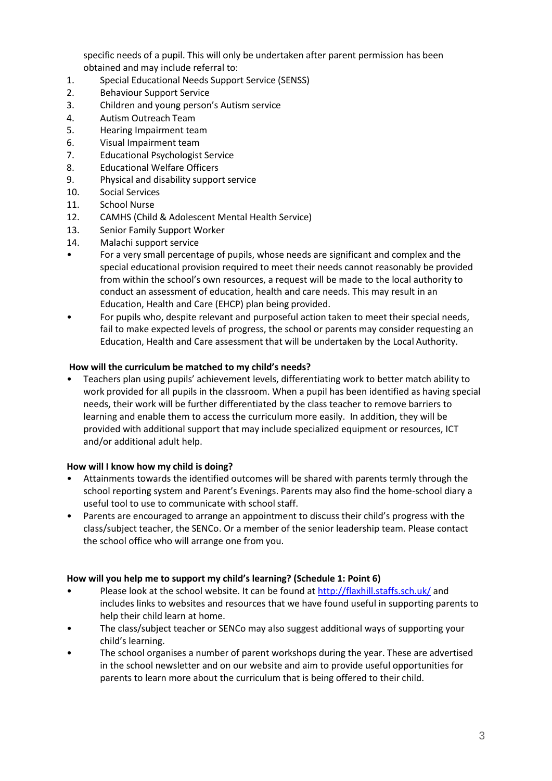specific needs of a pupil. This will only be undertaken after parent permission has been obtained and may include referral to:

- 1. Special Educational Needs Support Service (SENSS)
- 2. Behaviour Support Service
- 3. Children and young person's Autism service
- 4. Autism Outreach Team
- 5. Hearing Impairment team
- 6. Visual Impairment team
- 7. Educational Psychologist Service
- 8. Educational Welfare Officers
- 9. Physical and disability support service
- 10. Social Services
- 11. School Nurse
- 12. CAMHS (Child & Adolescent Mental Health Service)
- 13. Senior Family Support Worker
- 14. Malachi support service
- For a very small percentage of pupils, whose needs are significant and complex and the special educational provision required to meet their needs cannot reasonably be provided from within the school's own resources, a request will be made to the local authority to conduct an assessment of education, health and care needs. This may result in an Education, Health and Care (EHCP) plan being provided.
- For pupils who, despite relevant and purposeful action taken to meet their special needs, fail to make expected levels of progress, the school or parents may consider requesting an Education, Health and Care assessment that will be undertaken by the Local Authority.

### **How will the curriculum be matched to my child's needs?**

• Teachers plan using pupils' achievement levels, differentiating work to better match ability to work provided for all pupils in the classroom. When a pupil has been identified as having special needs, their work will be further differentiated by the class teacher to remove barriers to learning and enable them to access the curriculum more easily. In addition, they will be provided with additional support that may include specialized equipment or resources, ICT and/or additional adult help.

### **How will I know how my child is doing?**

- Attainments towards the identified outcomes will be shared with parents termly through the school reporting system and Parent's Evenings. Parents may also find the home-school diary a useful tool to use to communicate with school staff.
- Parents are encouraged to arrange an appointment to discuss their child's progress with the class/subject teacher, the SENCo. Or a member of the senior leadership team. Please contact the school office who will arrange one from you.

### **How will you help me to support my child's learning? (Schedule 1: Point 6)**

- Please look at the school website. It can be found at http://flaxhill.staffs.sch.uk[/](http://www.flaxhill.co.uk/) and includes links to websites and resources that we have found useful in supporting parents to help their child learn at home.
- The class/subject teacher or SENCo may also suggest additional ways of supporting your child's learning.
- The school organises a number of parent workshops during the year. These are advertised in the school newsletter and on our website and aim to provide useful opportunities for parents to learn more about the curriculum that is being offered to their child.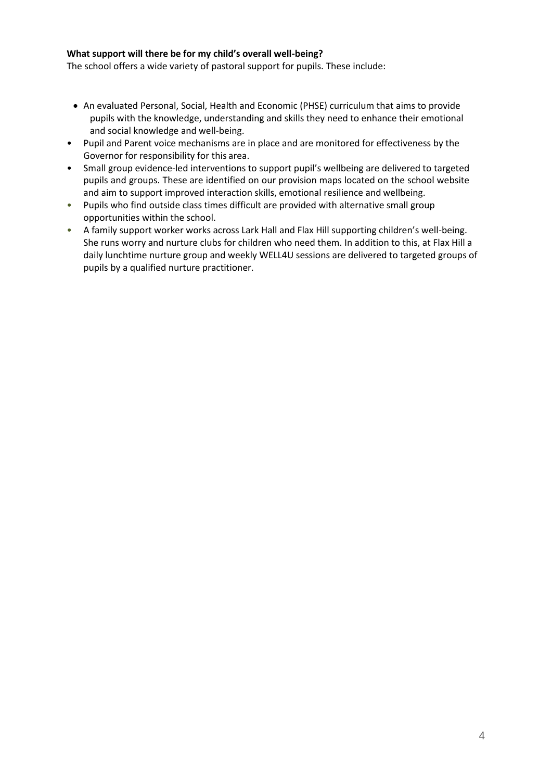### **What support will there be for my child's overall well-being?**

The school offers a wide variety of pastoral support for pupils. These include:

- An evaluated Personal, Social, Health and Economic (PHSE) curriculum that aims to provide pupils with the knowledge, understanding and skills they need to enhance their emotional and social knowledge and well-being.
- Pupil and Parent voice mechanisms are in place and are monitored for effectiveness by the Governor for responsibility for this area.
- Small group evidence-led interventions to support pupil's wellbeing are delivered to targeted pupils and groups. These are identified on our provision maps located on the school website and aim to support improved interaction skills, emotional resilience and wellbeing.
- Pupils who find outside class times difficult are provided with alternative small group opportunities within the school.
- A family support worker works across Lark Hall and Flax Hill supporting children's well-being. She runs worry and nurture clubs for children who need them. In addition to this, at Flax Hill a daily lunchtime nurture group and weekly WELL4U sessions are delivered to targeted groups of pupils by a qualified nurture practitioner.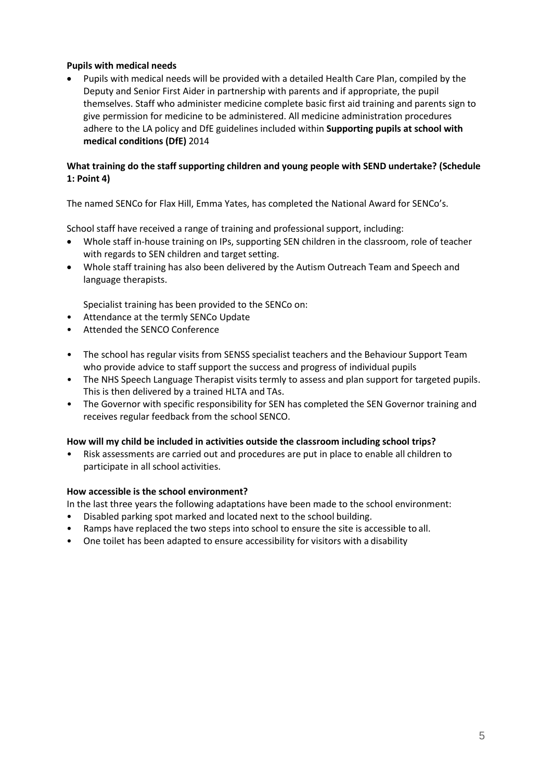### **Pupils with medical needs**

 Pupils with medical needs will be provided with a detailed Health Care Plan, compiled by the Deputy and Senior First Aider in partnership with parents and if appropriate, the pupil themselves. Staff who administer medicine complete basic first aid training and parents sign to give permission for medicine to be administered. All medicine administration procedures adhere to the LA policy and DfE guidelines included within **Supporting pupils at school with medical conditions (DfE)** 2014

### **What training do the staff supporting children and young people with SEND undertake? (Schedule 1: Point 4)**

The named SENCo for Flax Hill, Emma Yates, has completed the National Award for SENCo's.

School staff have received a range of training and professional support, including:

- Whole staff in-house training on IPs, supporting SEN children in the classroom, role of teacher with regards to SEN children and target setting.
- Whole staff training has also been delivered by the Autism Outreach Team and Speech and language therapists.

Specialist training has been provided to the SENCo on:

- Attendance at the termly SENCo Update
- Attended the SENCO Conference
- The school has regular visits from SENSS specialist teachers and the Behaviour Support Team who provide advice to staff support the success and progress of individual pupils
- The NHS Speech Language Therapist visits termly to assess and plan support for targeted pupils. This is then delivered by a trained HLTA and TAs.
- The Governor with specific responsibility for SEN has completed the SEN Governor training and receives regular feedback from the school SENCO.

### **How will my child be included in activities outside the classroom including school trips?**

• Risk assessments are carried out and procedures are put in place to enable all children to participate in all school activities.

#### **How accessible is the school environment?**

In the last three years the following adaptations have been made to the school environment:

- Disabled parking spot marked and located next to the school building.
- Ramps have replaced the two steps into school to ensure the site is accessible to all.
- One toilet has been adapted to ensure accessibility for visitors with a disability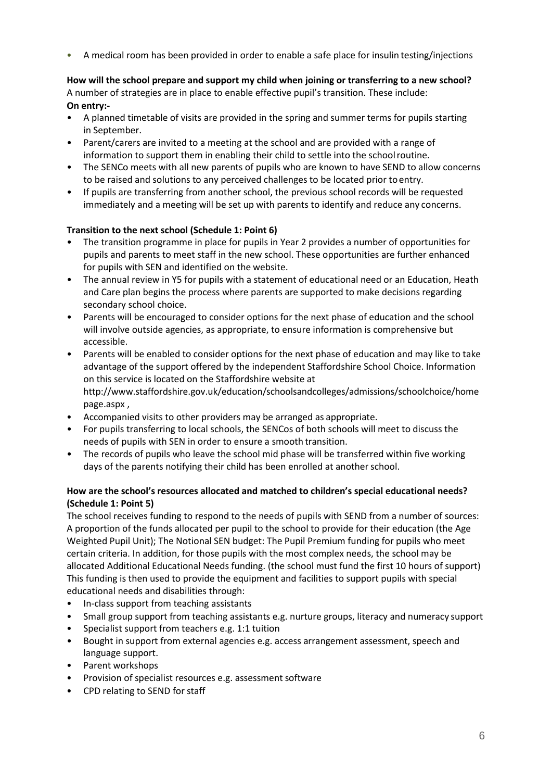• A medical room has been provided in order to enable a safe place for insulin testing/injections

## **How will the school prepare and support my child when joining or transferring to a new school?**

A number of strategies are in place to enable effective pupil's transition. These include: **On entry:-**

- A planned timetable of visits are provided in the spring and summer terms for pupils starting in September.
- Parent/carers are invited to a meeting at the school and are provided with a range of information to support them in enabling their child to settle into the schoolroutine.
- The SENCo meets with all new parents of pupils who are known to have SEND to allow concerns to be raised and solutions to any perceived challenges to be located prior toentry.
- If pupils are transferring from another school, the previous school records will be requested immediately and a meeting will be set up with parents to identify and reduce any concerns.

### **Transition to the next school (Schedule 1: Point 6)**

- The transition programme in place for pupils in Year 2 provides a number of opportunities for pupils and parents to meet staff in the new school. These opportunities are further enhanced for pupils with SEN and identified on the website.
- The annual review in Y5 for pupils with a statement of educational need or an Education, Heath and Care plan begins the process where parents are supported to make decisions regarding secondary school choice.
- Parents will be encouraged to consider options for the next phase of education and the school will involve outside agencies, as appropriate, to ensure information is comprehensive but accessible.
- Parents will be enabled to consider options for the next phase of education and may like to take advantage of the support offered by the independent Staffordshire School Choice. Information on this service is located on the Staffordshire website a[t](http://www.staffordshire.gov.uk/education/schoolsandcolleges/admissions/schoolchoice/homepage.aspx) [http://www.staffordshire.gov.uk/education/schoolsandcolleges/admissions/schoolchoice/home](http://www.staffordshire.gov.uk/education/schoolsandcolleges/admissions/schoolchoice/homepage.aspx) [page.aspx ,](http://www.staffordshire.gov.uk/education/schoolsandcolleges/admissions/schoolchoice/homepage.aspx)
- Accompanied visits to other providers may be arranged as appropriate.
- For pupils transferring to local schools, the SENCos of both schools will meet to discuss the needs of pupils with SEN in order to ensure a smooth transition.
- The records of pupils who leave the school mid phase will be transferred within five working days of the parents notifying their child has been enrolled at another school.

### **How are the school's resources allocated and matched to children's special educational needs? (Schedule 1: Point 5)**

The school receives funding to respond to the needs of pupils with SEND from a number of sources: A proportion of the funds allocated per pupil to the school to provide for their education (the Age Weighted Pupil Unit); The Notional SEN budget: The Pupil Premium funding for pupils who meet certain criteria. In addition, for those pupils with the most complex needs, the school may be allocated Additional Educational Needs funding. (the school must fund the first 10 hours of support) This funding is then used to provide the equipment and facilities to support pupils with special educational needs and disabilities through:

- In-class support from teaching assistants
- Small group support from teaching assistants e.g. nurture groups, literacy and numeracy support
- Specialist support from teachers e.g. 1:1 tuition
- Bought in support from external agencies e.g. access arrangement assessment, speech and language support.
- Parent workshops
- Provision of specialist resources e.g. assessment software
- CPD relating to SEND for staff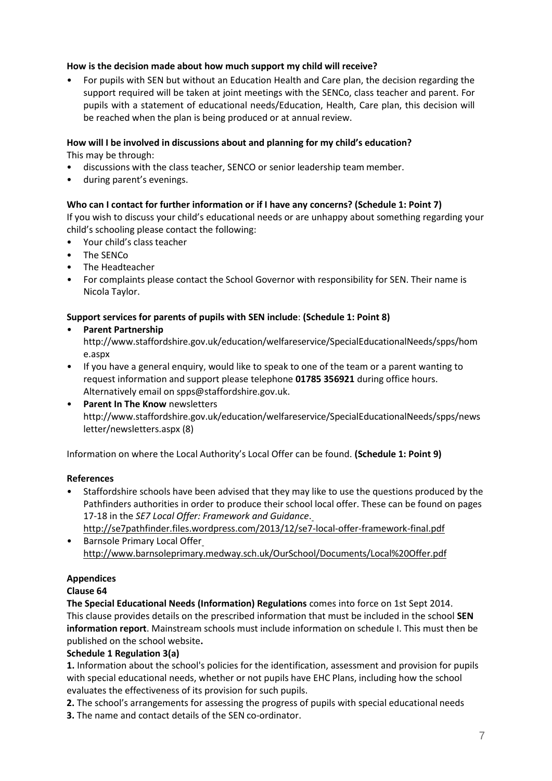### **How is the decision made about how much support my child will receive?**

• For pupils with SEN but without an Education Health and Care plan, the decision regarding the support required will be taken at joint meetings with the SENCo, class teacher and parent. For pupils with a statement of educational needs/Education, Health, Care plan, this decision will be reached when the plan is being produced or at annual review.

# **How will I be involved in discussions about and planning for my child's education?**

This may be through:

- discussions with the class teacher, SENCO or senior leadership team member.
- during parent's evenings.

### **Who can I contact for further information or if I have any concerns? (Schedule 1: Point 7)**

If you wish to discuss your child's educational needs or are unhappy about something regarding your child's schooling please contact the following:

- Your child's class teacher
- The SENCo
- The Headteacher
- For complaints please contact the School Governor with responsibility for SEN. Their name is Nicola Taylor.

### **Support services for parents of pupils with SEN include**: **(Schedule 1: Point 8)**

### • **Parent Partnershi[p](http://www.staffordshire.gov.uk/education/welfareservice/SpecialEducationalNeeds/spps/home.aspx)**

[http://www.staffordshire.gov.uk/education/welfareservice/SpecialEducationalNeeds/spps/hom](http://www.staffordshire.gov.uk/education/welfareservice/SpecialEducationalNeeds/spps/home.aspx) [e.aspx](http://www.staffordshire.gov.uk/education/welfareservice/SpecialEducationalNeeds/spps/home.aspx)

- If you have a general enquiry, would like to speak to one of the team or a parent wanting to request information and support please telephone **01785 356921** during office hours. Alternatively email on [spps@staffordshire.gov.uk.](mailto:spps@staffordshire.gov.uk)
- **Parent In The Know** newsletter[s](http://www.staffordshire.gov.uk/education/welfareservice/SpecialEducationalNeeds/spps/newsletter/newsletters.aspx) [http://www.staffordshire.gov.uk/education/welfareservice/SpecialEducationalNeeds/spps/news](http://www.staffordshire.gov.uk/education/welfareservice/SpecialEducationalNeeds/spps/newsletter/newsletters.aspx) [letter/newsletters.aspx](http://www.staffordshire.gov.uk/education/welfareservice/SpecialEducationalNeeds/spps/newsletter/newsletters.aspx) (8)

Information on where the Local Authority's Local Offer can be found. **(Schedule 1: Point 9)** 

### **References**

- Staffordshire schools have been advised that they may like to use the questions produced by the Pathfinders authorities in order to produce their school local offer. These can be found on pages 17-18 in the *SE7 Local Offer: Framework and Guidance*[.](http://se7pathfinder.files.wordpress.com/2013/12/se7-local-offer-framework-final.pdf)
	- <http://se7pathfinder.files.wordpress.com/2013/12/se7-local-offer-framework-final.pdf>
- Ba[r](http://www.barnsoleprimary.medway.sch.uk/OurSchool/Documents/Local%20Offer.pdf)nsole Primary Local Offer <http://www.barnsoleprimary.medway.sch.uk/OurSchool/Documents/Local%20Offer.pdf>

### **Appendices**

### **Clause 64**

**The Special Educational Needs (Information) Regulations** comes into force on 1st Sept 2014. This clause provides details on the prescribed information that must be included in the school **SEN information report**. Mainstream schools must include information on schedule I. This must then be published on the school website**.**

### **Schedule 1 Regulation 3(a)**

**1.** Information about the school's policies for the identification, assessment and provision for pupils with special educational needs, whether or not pupils have EHC Plans, including how the school evaluates the effectiveness of its provision for such pupils.

**2.** The school's arrangements for assessing the progress of pupils with special educational needs **3.** The name and contact details of the SEN co-ordinator.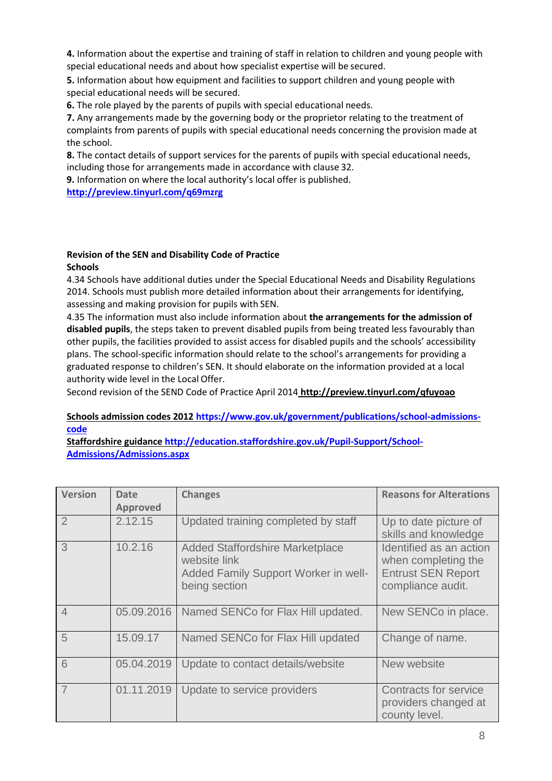**4.** Information about the expertise and training of staff in relation to children and young people with special educational needs and about how specialist expertise will be secured.

**5.** Information about how equipment and facilities to support children and young people with special educational needs will be secured.

**6.** The role played by the parents of pupils with special educational needs.

**7.** Any arrangements made by the governing body or the proprietor relating to the treatment of complaints from parents of pupils with special educational needs concerning the provision made at the school.

**8.** The contact details of support services for the parents of pupils with special educational needs, including those for arrangements made in accordance with clause 32.

**9.** Information on where the local authority's local offer is published.

**<http://preview.tinyurl.com/q69mzrg>**

#### **Revision of the SEN and Disability Code of Practice Schools**

4.34 Schools have additional duties under the Special Educational Needs and Disability Regulations 2014. Schools must publish more detailed information about their arrangements for identifying, assessing and making provision for pupils with SEN.

4.35 The information must also include information about **the arrangements for the admission of disabled pupils**, the steps taken to prevent disabled pupils from being treated less favourably than other pupils, the facilities provided to assist access for disabled pupils and the schools' accessibility plans. The school-specific information should relate to the school's arrangements for providing a graduated response to children's SEN. It should elaborate on the information provided at a local authority wide level in the Local Offer.

Second revision of the SEND Code of Practice April 2014 **<http://preview.tinyurl.com/qfuyoao>**

### **Schools admission codes 2012 [https://www.gov.uk/government/publications/school-admissions](https://www.gov.uk/government/publications/school-admissions-code)[code](https://www.gov.uk/government/publications/school-admissions-code)**

**Staffordshire guidanc[e http://education.staffordshire.gov.uk/Pupil-Support/School-](http://education.staffordshire.gov.uk/Pupil-Support/School-Admissions/Admissions.aspx)[Admissions/Admissions.aspx](http://education.staffordshire.gov.uk/Pupil-Support/School-Admissions/Admissions.aspx)**

| <b>Version</b> | <b>Date</b><br><b>Approved</b> | <b>Changes</b>                                                                                                  | <b>Reasons for Alterations</b>                                                                   |
|----------------|--------------------------------|-----------------------------------------------------------------------------------------------------------------|--------------------------------------------------------------------------------------------------|
| $\overline{2}$ | 2.12.15                        | Updated training completed by staff                                                                             | Up to date picture of<br>skills and knowledge                                                    |
| 3              | 10.2.16                        | <b>Added Staffordshire Marketplace</b><br>website link<br>Added Family Support Worker in well-<br>being section | Identified as an action<br>when completing the<br><b>Entrust SEN Report</b><br>compliance audit. |
| $\overline{4}$ | 05.09.2016                     | Named SENCo for Flax Hill updated.                                                                              | New SENCo in place.                                                                              |
| 5              | 15.09.17                       | Named SENCo for Flax Hill updated                                                                               | Change of name.                                                                                  |
| 6              | 05.04.2019                     | Update to contact details/website                                                                               | New website                                                                                      |
| $\overline{7}$ | 01.11.2019                     | Update to service providers                                                                                     | <b>Contracts for service</b><br>providers changed at<br>county level.                            |